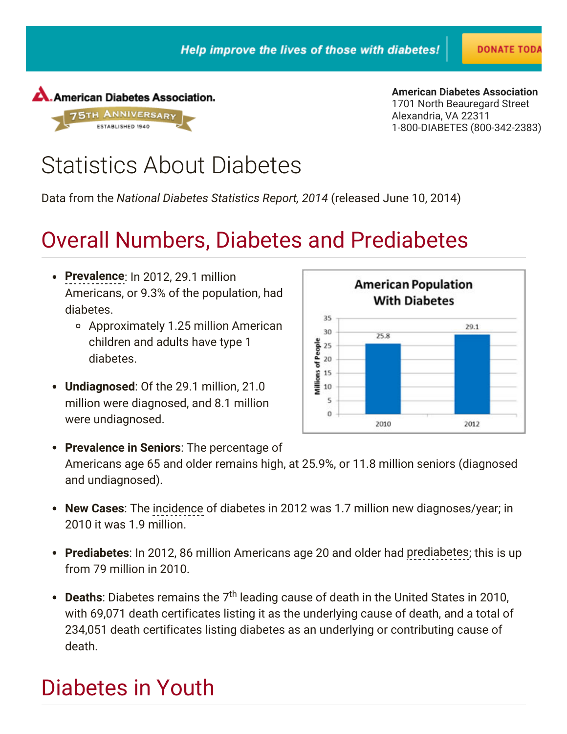

1701 North Beauregard Street Alexandria, VA 22311 1-800-DIABETES (800-342-2383) American Diabetes [Association](http://www.diabetes.org/)

**DONATE TOD** 

# Statistics About Diabetes

[Data](http://www.sharethis.com/features/download?source=doneScreen4x) from the National Diabetes Statistics Report, 2014 (released June 10, 2014)

### [Overa](http://www.sharethis.com/)ll Numbers, Diabetes and Prediabetes

- Prevalence: In 2012, 29.1 million Americans, or 9.3% of the population, had diabetes.
	- Approximately 1.25 million American children and adults have type 1 diabetes.
- Undiagnosed: Of the 29.1 million, 21.0 million were diagnosed, and 8.1 million were undiagnosed.



• Prevalence in Seniors: The percentage of Americans age 65 and older remains high, at 25.9%, or 11.8 million seniors (diagnosed and undiagnosed).

- New Cases: The incidence of diabetes in 2012 was 1.7 million new diagnoses/year; in 2010 it was 1.9 million.
- Prediabetes: In 2012, 86 million Americans age 20 and older had prediabetes; this is up from 79 million in 2010.
- Deaths: Diabetes remains the 7<sup>th</sup> leading cause of death in the United States in 2010, with 69,071 death certificates listing it as the underlying cause of death, and a total of 234,051 death certificates listing diabetes as an underlying or contributing cause of death.

# Diabetes in Youth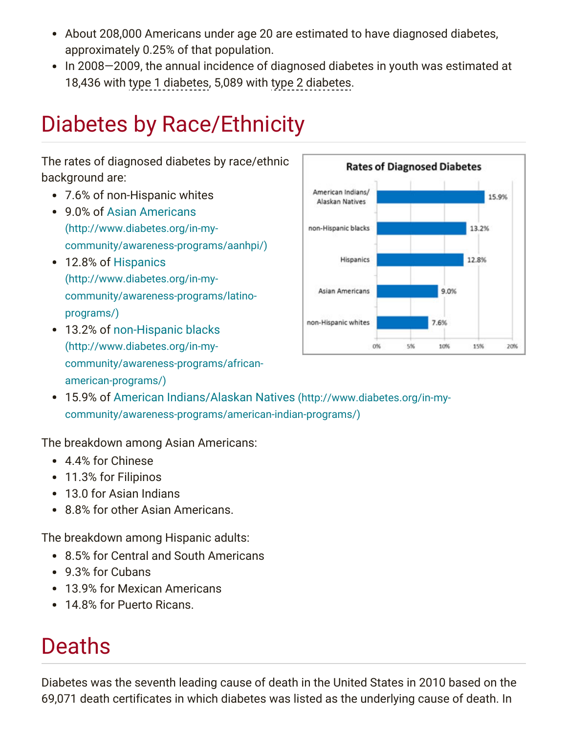- About 208,000 Americans under age 20 are estimated to have diagnosed diabetes, approximately 0.25% of that population.
- In 2008–2009, the annual incidence of diagnosed diabetes in youth was estimated at 18,436 with type 1 diabetes, 5,089 with type 2 diabetes.

# Diabetes by Race/Ethnicity

#### The rates of diagnosed diabetes by race/ethnic background are:

- 7.6% of non-Hispanic whites
- 9.0% of Asian Americans (http://www.diabetes.org/in-my[community/awareness-programs/aanhpi/\)](http://www.diabetes.org/in-my-community/awareness-programs/aanhpi/)
- 12.8% of Hispanics (http://www.diabetes.org/in-my[community/awareness-programs/latino](http://www.diabetes.org/in-my-community/awareness-programs/latino-programs/)programs/)
- 13.2% of non-Hispanic blacks (http://www.diabetes.org/in-my[community/awareness-programs/african](http://www.diabetes.org/in-my-community/awareness-programs/african-american-programs/)american-programs/)



15.9% of American Indians/Alaskan Natives (http://www.diabetes.org/in-my[community/awareness-programs/american-indian-programs/\)](http://www.diabetes.org/in-my-community/awareness-programs/american-indian-programs/)

The breakdown among Asian Americans:

- 4.4% for Chinese
- 11.3% for Filipinos
- 13.0 for Asian Indians
- 8.8% for other Asian Americans.

The breakdown among Hispanic adults:

- 8.5% for Central and South Americans
- 9.3% for Cubans
- 13.9% for Mexican Americans
- 14.8% for Puerto Ricans.

### Deaths

Diabetes was the seventh leading cause of death in the United States in 2010 based on the 69,071 death certificates in which diabetes was listed as the underlying cause of death. In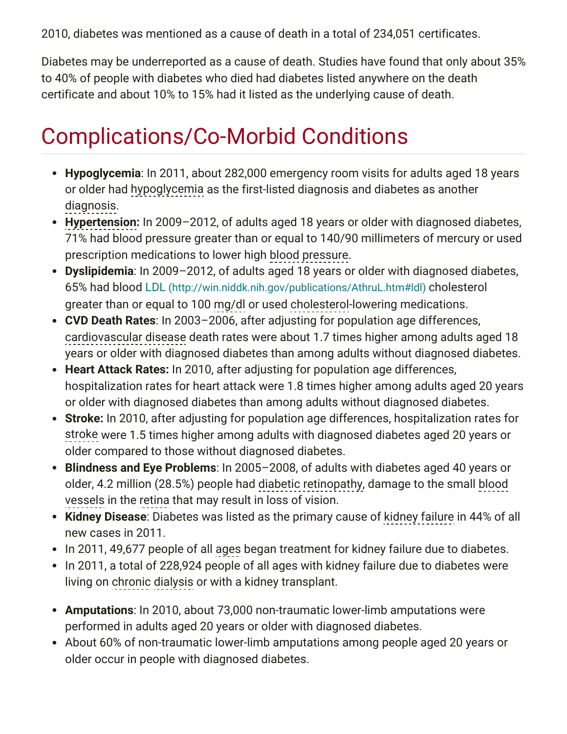2010, diabetes was mentioned as a cause of death in a total of 234,051 certificates.

Diabetes may be underreported as a cause of death. Studies have found that only about 35% to 40% of people with diabetes who died had diabetes listed anywhere on the death certificate and about 10% to 15% had it listed as the underlying cause of death.

# Complications/Co-Morbid Conditions

- Hypoglycemia: In 2011, about 282,000 emergency room visits for adults aged 18 years or older had hypoglycemia as the first-listed diagnosis and diabetes as another . diagnosis
- Hypertension: In 2009-2012, of adults aged 18 years or older with diagnosed diabetes, 71% had blood pressure greater than or equal to 140/90 millimeters of mercury or used prescription medications to lower high blood pressure.
- Dyslipidemia: In 2009-2012, of adults aged 18 years or older with diagnosed diabetes, 65% had blood LDL [\(http://win.niddk.nih.gov/publications/AthruL.htm#ldl\)](http://win.niddk.nih.gov/publications/AthruL.htm#ldl) cholesterol greater than or equal to 100 mg/dl or used cholesterol-lowering medications.
- CVD Death Rates: In 2003–2006, after adjusting for population age differences, cardiovascular disease death rates were about 1.7 times higher among adults aged 18 years or older with diagnosed diabetes than among adults without diagnosed diabetes.
- Heart Attack Rates: In 2010, after adjusting for population age differences, hospitalization rates for heart attack were 1.8 times higher among adults aged 20 years or older with diagnosed diabetes than among adults without diagnosed diabetes.
- Stroke: In 2010, after adjusting for population age differences, hospitalization rates for stroke were 1.5 times higher among adults with diagnosed diabetes aged 20 years or older compared to those without diagnosed diabetes.
- Blindness and Eye Problems: In 2005-2008, of adults with diabetes aged 40 years or older, 4.2 million (28.5%) people had diabetic retinopathy, damage to the small blood vessels in the retina that may result in loss of vision.
- Kidney Disease: Diabetes was listed as the primary cause of kidney failure in 44% of all new cases in 2011.
- In 2011, 49,677 people of all ages began treatment for kidney failure due to diabetes.
- In 2011, a total of 228,924 people of all ages with kidney failure due to diabetes were living on chronic dialysis or with a kidney transplant.
- Amputations: In 2010, about 73,000 non-traumatic lower-limb amputations were performed in adults aged 20 years or older with diagnosed diabetes.
- About 60% of non-traumatic lower-limb amputations among people aged 20 years or older occur in people with diagnosed diabetes.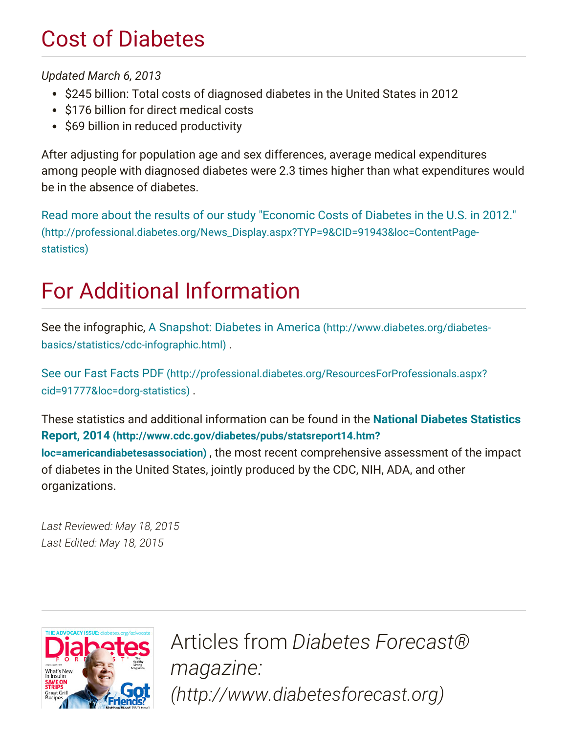### Cost of Diabetes

Updated March 6, 2013

- \$245 billion: Total costs of diagnosed diabetes in the United States in 2012
- \$176 billion for direct medical costs
- \$69 billion in reduced productivity

After adjusting for population age and sex differences, average medical expenditures among people with diagnosed diabetes were 2.3 times higher than what expenditures would be in the absence of diabetes.

Read more about the results of our study "Economic Costs of Diabetes in the U.S. in 2012." [\(http://professional.diabetes.org/News\\_Display.aspx?TYP=9&CID=91943&loc=ContentPage](http://professional.diabetes.org/News_Display.aspx?TYP=9&CID=91943&loc=ContentPage-statistics)statistics)

# For Additional Information

See the infographic, A Snapshot: Diabetes in America (http://www.diabetes.org/diabetes[basics/statistics/cdc-infographic.html\)](http://www.diabetes.org/diabetes-basics/statistics/cdc-infographic.html) .

See our Fast Facts PDF [\(http://professional.diabetes.org/ResourcesForProfessionals.aspx?](http://professional.diabetes.org/ResourcesForProfessionals.aspx?cid=91777&loc=dorg-statistics) cid=91777&loc=dorg-statistics) .

These statistics and additional information can be found in the National Diabetes Statistics Report, 2014 [\(http://www.cdc.gov/diabetes/pubs/statsreport14.htm?](http://www.cdc.gov/diabetes/pubs/statsreport14.htm?loc=americandiabetesassociation) loc=americandiabetesassociation) , the most recent comprehensive assessment of the impact of diabetes in the United States, jointly produced by the CDC, NIH, ADA, and other organizations.

Last Reviewed: May 18, 2015 Last Edited: May 18, 2015



Articles from Diabetes Forecast® magazine: [\(http://www.diabetesforecast.org\)](http://www.diabetesforecast.org/)